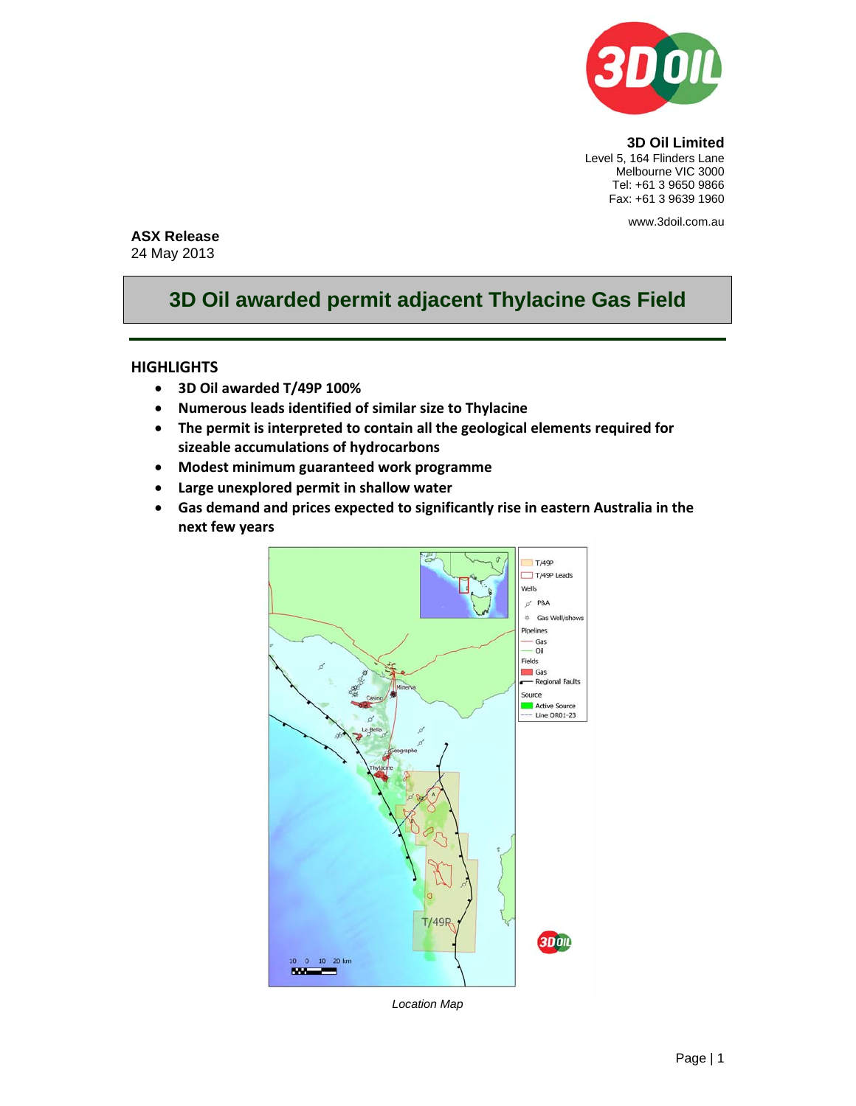

**3D Oil Limited**  Level 5, 164 Flinders Lane Melbourne VIC 3000 Tel: +61 3 9650 9866 Fax: +61 3 9639 1960

www.3doil.com.au

## **ASX Release**

24 May 2013

## **3D Oil awarded permit adjacent Thylacine Gas Field**

## **HIGHLIGHTS**

- **3D Oil awarded T/49P 100%**
- **Numerous leads identified of similar size to Thylacine**
- **The permit is interpreted to contain all the geological elements required for sizeable accumulations of hydrocarbons**
- **Modest minimum guaranteed work programme**
- **Large unexplored permit in shallow water**
- **Gas demand and prices expected to significantly rise in eastern Australia in the next few years**



*Location Map*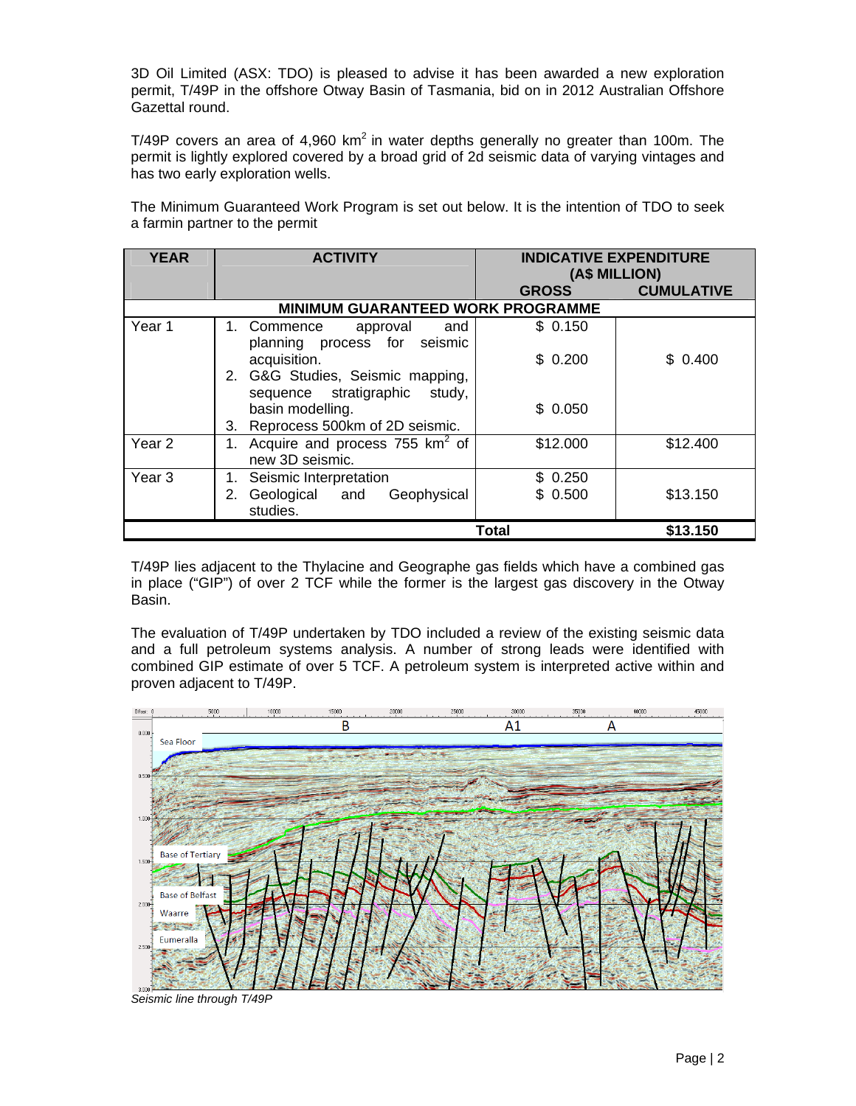3D Oil Limited (ASX: TDO) is pleased to advise it has been awarded a new exploration permit, T/49P in the offshore Otway Basin of Tasmania, bid on in 2012 Australian Offshore Gazettal round.

T/49P covers an area of 4,960 km<sup>2</sup> in water depths generally no greater than 100m. The permit is lightly explored covered by a broad grid of 2d seismic data of varying vintages and has two early exploration wells.

The Minimum Guaranteed Work Program is set out below. It is the intention of TDO to seek a farmin partner to the permit

| <b>YEAR</b>                              | <b>ACTIVITY</b>                                                                      | <b>INDICATIVE EXPENDITURE</b><br>(A\$ MILLION) |                   |
|------------------------------------------|--------------------------------------------------------------------------------------|------------------------------------------------|-------------------|
|                                          |                                                                                      | <b>GROSS</b>                                   | <b>CUMULATIVE</b> |
| <b>MINIMUM GUARANTEED WORK PROGRAMME</b> |                                                                                      |                                                |                   |
| Year 1                                   | approval<br>1. Commence<br>and<br>planning process for seismic                       | \$0.150                                        |                   |
|                                          | acquisition.<br>2. G&G Studies, Seismic mapping,<br>sequence stratigraphic<br>study, | \$0.200                                        | \$0.400           |
|                                          | basin modelling.<br>3. Reprocess 500km of 2D seismic.                                | \$0.050                                        |                   |
| Year 2                                   | Acquire and process 755 $km^2$ of<br>new 3D seismic.                                 | \$12.000                                       | \$12.400          |
| Year <sub>3</sub>                        | Seismic Interpretation<br>Geological and<br>Geophysical<br>2.<br>studies.            | \$0.250<br>\$0.500                             | \$13.150          |
|                                          |                                                                                      | Total                                          | \$13.150          |

T/49P lies adjacent to the Thylacine and Geographe gas fields which have a combined gas in place ("GIP") of over 2 TCF while the former is the largest gas discovery in the Otway Basin.

The evaluation of T/49P undertaken by TDO included a review of the existing seismic data and a full petroleum systems analysis. A number of strong leads were identified with combined GIP estimate of over 5 TCF. A petroleum system is interpreted active within and proven adjacent to T/49P.



*Seismic line through T/49P*